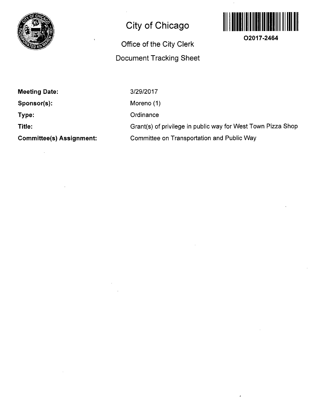

## **City of Chicago**

## **Office of the City Clerk Document Tracking Sheet**



**O2017-2464** 

**Meeting Date: Sponsor(s): Type:** 

**Title:** 

**Committee(s) Assignment:** 

3/29/2017 Moreno (1) **Ordinance** Grant(s) of privilege in public way for West Town Pizza Shop Committee on Transportation and Public Way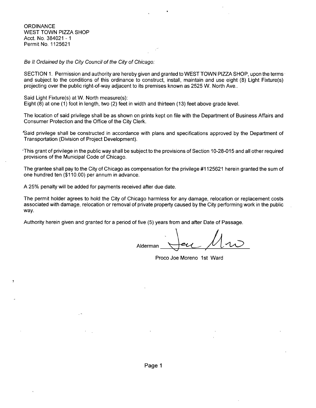**ORDINANCE** WEST TOWN PIZZA SHOP Acct. No. 384021 -1 Permit No, 1125621

Be It Ordained by the City Council of the City of Chicago:

SECTION 1. Permission and authority are hereby given and granted to WEST TOWN PIZZA SHOP, upon the terms and subject to the conditions of this ordinance to construct, install, maintain and use eight (8) Light Fixture(s) projecting over the public right-of-way adjacent to its premises known as 2525 W. North Ave..

Said Light Fixture(s) at W. North measure(s): Eight (8) at one (1) foot in length, two (2) feet in width and thirteen (13) feet above grade level.

The location of said privilege shall be as shown on prints kept on file with the Department of Business Affairs and Consumer Protection and the Office of the City Clerk.

\*Said privilege shall be constructed in accordance with plans and specifications approved by the Department of Transportation (Division of Project Development).

•This grant of privilege in the public way shall be subject to the provisions of Section 10-28-015 and all other required provisions of the Municipal Code of Chicago.

The grantee shall pay to the City of Chicago as compensation for the privilege #1125621 herein granted the sum of one hundred ten (\$110.00) per annum in advance.

A 25% penalty will be added for payments received after due date.

The permit holder agrees to hold the City of Chicago harmless for any damage, relocation or replacement costs associated with damage, relocation or removal of private property caused by the City performing work in the public way.

Authority herein given and granted for a period of five (5) years from and after Date of Passage.

Alderman \_

Proco Joe Moreno 1st Ward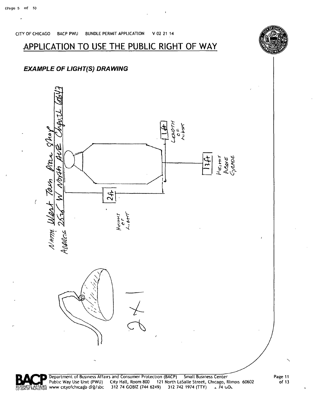## APPLICATION TO USE THE PUBLIC RIGHT OF WAY

CITY OF CHICAGO BACP PWU BUNDLE PERMIT APPLICATION V 02 21 14





Department of Business Affairs and Consumer Protection (BACP) Small Business Center<br>BUSINESS AFFENBS www.cityofchicago.org/sbc 312 74 GOBIZ (744 6249) 312 742 1974 (TTY) 4 74 GOL